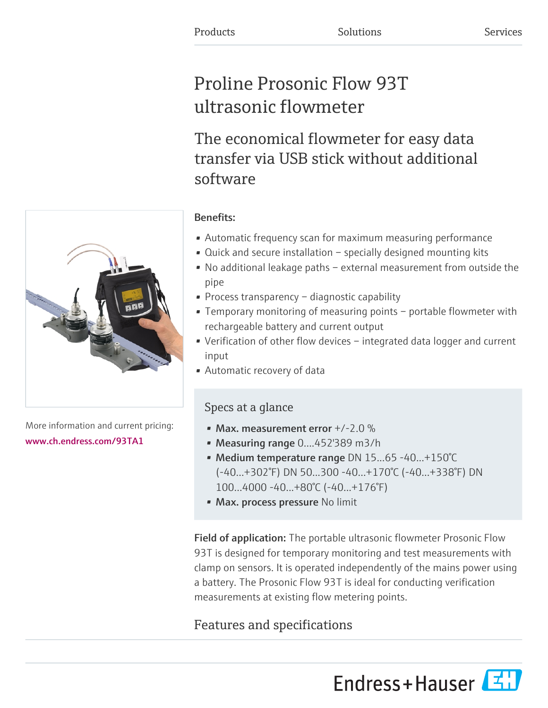# Proline Prosonic Flow 93T ultrasonic flowmeter

The economical flowmeter for easy data transfer via USB stick without additional software



More information and current pricing: [www.ch.endress.com/93TA1](https://www.ch.endress.com/93TA1)

# Benefits:

- Automatic frequency scan for maximum measuring performance
- Quick and secure installation specially designed mounting kits
- No additional leakage paths external measurement from outside the pipe
- Process transparency diagnostic capability
- Temporary monitoring of measuring points portable flowmeter with rechargeable battery and current output
- Verification of other flow devices integrated data logger and current input
- Automatic recovery of data

## Specs at a glance

- Max. measurement error  $+/-2.0\%$
- Measuring range 0....452'389 m3/h
- Medium temperature range DN 15...65 -40...+150°C (-40...+302°F) DN 50...300 -40...+170°C (-40...+338°F) DN 100...4000 -40...+80°C (-40...+176°F)
- Max. process pressure No limit

Field of application: The portable ultrasonic flowmeter Prosonic Flow 93T is designed for temporary monitoring and test measurements with clamp on sensors. It is operated independently of the mains power using a battery. The Prosonic Flow 93T is ideal for conducting verification measurements at existing flow metering points.

# Features and specifications

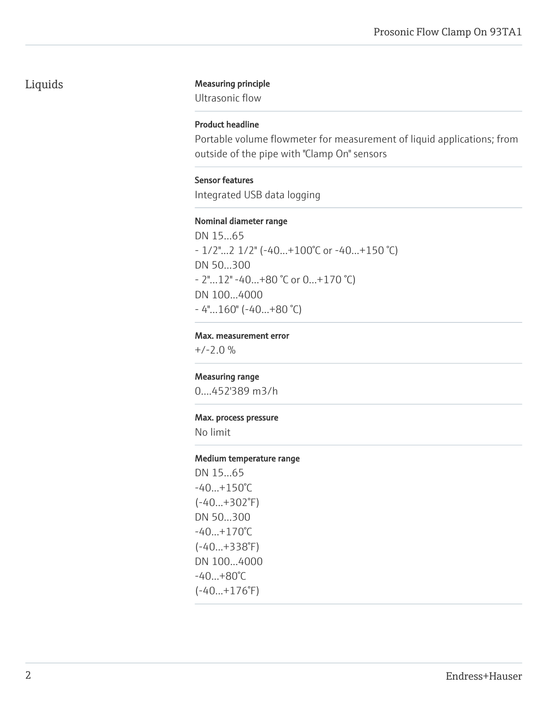### Liquids Measuring principle

Ultrasonic flow

#### Product headline

Portable volume flowmeter for measurement of liquid applications; from outside of the pipe with "Clamp On" sensors

#### Sensor features

Integrated USB data logging

#### Nominal diameter range

DN 15...65 - 1/2"...2 1/2" (-40...+100°C or -40...+150 °C) DN 50...300 - 2"...12" -40...+80 °C or 0...+170 °C) DN 100...4000 - 4"...160" (-40...+80 °C)

#### Max. measurement error

 $+/-2.0 \%$ 

#### Measuring range

0....452'389 m3/h

#### Max. process pressure

No limit

#### Medium temperature range

DN 15...65  $-40...+150^{\circ}C$ (-40...+302°F) DN 50...300 -40...+170°C (-40...+338°F) DN 100...4000 -40...+80°C (-40...+176°F)